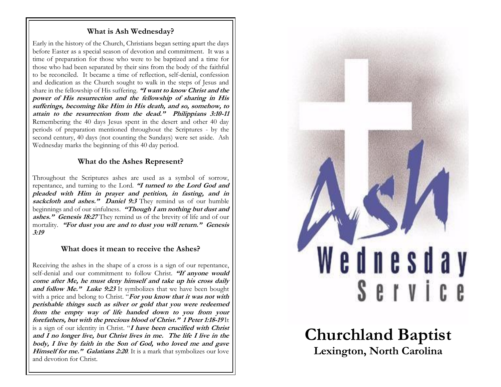## **What is Ash Wednesday?**

Early in the history of the Church, Christians began setting apart the days before Easter as a special season of devotion and commitment. It was a time of preparation for those who were to be baptized and a time for those who had been separated by their sins from the body of the faithful to be reconciled. It became a time of reflection, self-denial, confession and dedication as the Church sought to walk in the steps of Jesus and share in the fellowship of His suffering. **"I want to know Christ and the power of His resurrection and the fellowship of sharing in His sufferings, becoming like Him in His death, and so, somehow, to attain to the resurrection from the dead." Philippians 3:10-11** Remembering the 40 days Jesus spent in the desert and other 40 day periods of preparation mentioned throughout the Scriptures - by the second century, 40 days (not counting the Sundays) were set aside. Ash Wednesday marks the beginning of this 40 day period.

# **What do the Ashes Represent?**

Throughout the Scriptures ashes are used as a symbol of sorrow, repentance, and turning to the Lord. **"I turned to the Lord God and pleaded with Him in prayer and petition, in fasting, and in** sackcloth and ashes." Daniel 9:3 They remind us of our humble beginnings and of our sinfulness. **"Though I am nothing but dust and ashes." Genesis 18:27** They remind us of the brevity of life and of our mortality. **"For dust you are and to dust you will return." Genesis 3:19**

# **What does it mean to receive the Ashes?**

Receiving the ashes in the shape of a cross is a sign of our repentance, self-denial and our commitment to follow Christ. **"If anyone would come after Me, he must deny himself and take up his cross daily and follow Me."** Luke 9:23 It symbolizes that we have been bought with a price and belong to Christ. "For you know that it was not with **perishable things such as silver or gold that you were redeemed from the empty way of life handed down to you from your forefathers, but with the precious blood of Christ." 1 Peter 1:18-19** It is a sign of our identity in Christ. "**I have been crucified with Christ and I no longer live, but Christ lives in me. The life I live in the body, I live by faith in the Son of God, who loved me and gave Himself for me." Galatians 2:20**. It is a mark that symbolizes our love and devotion for Christ.



**Churchland Baptist Lexington, North Carolina**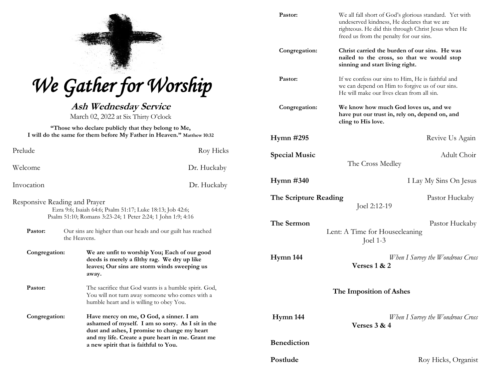| W.                 |
|--------------------|
| <b>DECK</b><br>433 |
| V.<br>an a         |

|  |  |  | We Gather for Worship |
|--|--|--|-----------------------|
|--|--|--|-----------------------|

**Ash Wednesday Service** March 02, 2022 at Six Thirty O'clock

**"Those who declare publicly that they belong to Me, I will do the same for them before My Father in Heaven." Matthew 10:32**

| Prelude                                                                                                                                                   | Roy Hicks                                                                                                                                                                                                                                 |  |  |  |
|-----------------------------------------------------------------------------------------------------------------------------------------------------------|-------------------------------------------------------------------------------------------------------------------------------------------------------------------------------------------------------------------------------------------|--|--|--|
| Welcome                                                                                                                                                   | Dr. Huckaby                                                                                                                                                                                                                               |  |  |  |
| Invocation                                                                                                                                                | Dr. Huckaby                                                                                                                                                                                                                               |  |  |  |
| Responsive Reading and Prayer<br>Ezra 9:6; Isaiah 64:6; Psalm 51:17; Luke 18:13; Job 42:6;<br>Psalm 51:10; Romans 3:23-24; 1 Peter 2:24; 1 John 1:9; 4:16 |                                                                                                                                                                                                                                           |  |  |  |
| Pastor:                                                                                                                                                   | Our sins are higher than our heads and our guilt has reached<br>the Heavens.                                                                                                                                                              |  |  |  |
| Congregation:                                                                                                                                             | We are unfit to worship You; Each of our good<br>deeds is merely a filthy rag. We dry up like<br>leaves; Our sins are storm winds sweeping us<br>away.                                                                                    |  |  |  |
| Pastor:                                                                                                                                                   | The sacrifice that God wants is a humble spirit. God,<br>You will not turn away someone who comes with a<br>humble heart and is willing to obey You.                                                                                      |  |  |  |
| Congregation:                                                                                                                                             | Have mercy on me, O God, a sinner. I am<br>ashamed of myself. I am so sorry. As I sit in the<br>dust and ashes, I promise to change my heart<br>and my life. Create a pure heart in me. Grant me<br>a new spirit that is faithful to You. |  |  |  |

| Pastor:                 | We all fall short of God's glorious standard. Yet with<br>undeserved kindness, He declares that we are<br>righteous. He did this through Christ Jesus when He<br>freed us from the penalty for our sins. |  |  |
|-------------------------|----------------------------------------------------------------------------------------------------------------------------------------------------------------------------------------------------------|--|--|
| Congregation:           | Christ carried the burden of our sins. He was<br>nailed to the cross, so that we would stop<br>sinning and start living right.                                                                           |  |  |
| Pastor:                 | If we confess our sins to Him, He is faithful and<br>we can depend on Him to forgive us of our sins.<br>He will make our lives clean from all sin.                                                       |  |  |
| Congregation:           | We know how much God loves us, and we<br>have put our trust in, rely on, depend on, and<br>cling to His love.                                                                                            |  |  |
| <b>Hymn #295</b>        | Revive Us Again                                                                                                                                                                                          |  |  |
| <b>Special Music</b>    | Adult Choir<br>The Cross Medley                                                                                                                                                                          |  |  |
| $Hymn \#340$            | I Lay My Sins On Jesus                                                                                                                                                                                   |  |  |
| The Scripture Reading   | Pastor Huckaby<br>Joel 2:12-19                                                                                                                                                                           |  |  |
| The Sermon              | Pastor Huckaby<br>Lent: A Time for Housecleaning<br>Joel $1-3$                                                                                                                                           |  |  |
| Hymn 144                | When I Survey the Wondrous Cross<br>Verses $1 & 2$                                                                                                                                                       |  |  |
| The Imposition of Ashes |                                                                                                                                                                                                          |  |  |
| Hymn 144                | When I Survey the Wondrous Cross<br>Verses $3 & 4$                                                                                                                                                       |  |  |
| <b>Benediction</b>      |                                                                                                                                                                                                          |  |  |
| Postlude                | Roy Hicks, Organist                                                                                                                                                                                      |  |  |